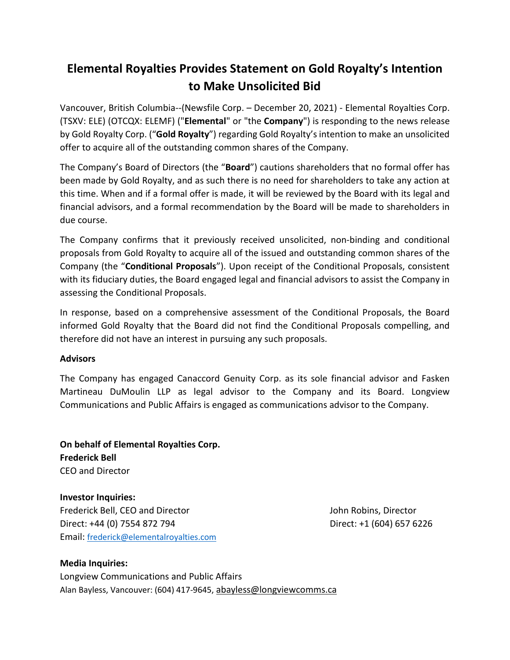## **Elemental Royalties Provides Statement on Gold Royalty's Intention to Make Unsolicited Bid**

Vancouver, British Columbia--(Newsfile Corp. – December 20, 2021) - Elemental Royalties Corp. (TSXV: ELE) (OTCQX: ELEMF) ("**Elemental**" or "the **Company**") is responding to the news release by Gold Royalty Corp. ("**Gold Royalty**") regarding Gold Royalty's intention to make an unsolicited offer to acquire all of the outstanding common shares of the Company.

The Company's Board of Directors (the "**Board**") cautions shareholders that no formal offer has been made by Gold Royalty, and as such there is no need for shareholders to take any action at this time. When and if a formal offer is made, it will be reviewed by the Board with its legal and financial advisors, and a formal recommendation by the Board will be made to shareholders in due course.

The Company confirms that it previously received unsolicited, non-binding and conditional proposals from Gold Royalty to acquire all of the issued and outstanding common shares of the Company (the "**Conditional Proposals**"). Upon receipt of the Conditional Proposals, consistent with its fiduciary duties, the Board engaged legal and financial advisors to assist the Company in assessing the Conditional Proposals.

In response, based on a comprehensive assessment of the Conditional Proposals, the Board informed Gold Royalty that the Board did not find the Conditional Proposals compelling, and therefore did not have an interest in pursuing any such proposals.

## **Advisors**

The Company has engaged Canaccord Genuity Corp. as its sole financial advisor and Fasken Martineau DuMoulin LLP as legal advisor to the Company and its Board. Longview Communications and Public Affairs is engaged as communications advisor to the Company.

**On behalf of Elemental Royalties Corp. Frederick Bell** CEO and Director

**Investor Inquiries:** Frederick Bell, CEO and Director John Robins, Director Direct: +44 (0) 7554 872 794 Direct: +1 (604) 657 6226 Email: [frederick@elementalroyalties.com](mailto:frederick@elementalroyalties.com)

**Media Inquiries:** Longview Communications and Public Affairs Alan Bayless, Vancouver: (604) 417-9645, abayless@longviewcomms.ca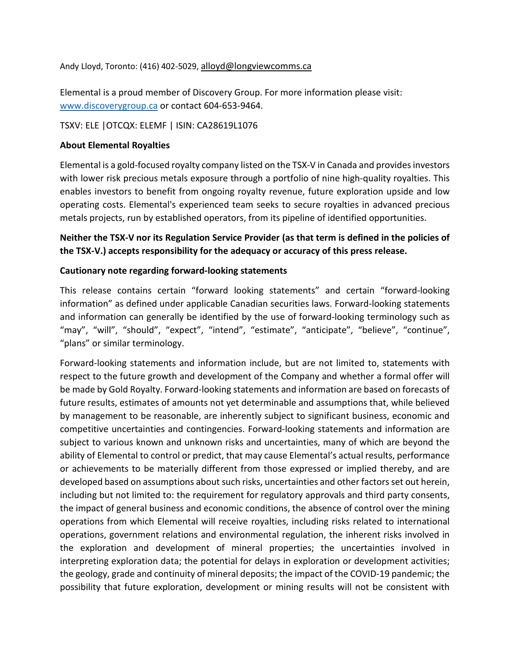Andy Lloyd, Toronto: (416) 402-5029, alloyd@longviewcomms.ca

Elemental is a proud member of Discovery Group. For more information please visit: [www.discoverygroup.ca](http://www.discoverygroup.ca/) or contact 604-653-9464.

TSXV: ELE |OTCQX: ELEMF | ISIN: CA28619L1076

## **About Elemental Royalties**

Elemental is a gold-focused royalty company listed on the TSX-V in Canada and provides investors with lower risk precious metals exposure through a portfolio of nine high-quality royalties. This enables investors to benefit from ongoing royalty revenue, future exploration upside and low operating costs. Elemental's experienced team seeks to secure royalties in advanced precious metals projects, run by established operators, from its pipeline of identified opportunities.

**Neither the TSX-V nor its Regulation Service Provider (as that term is defined in the policies of the TSX-V.) accepts responsibility for the adequacy or accuracy of this press release.**

## **Cautionary note regarding forward-looking statements**

This release contains certain "forward looking statements" and certain "forward-looking information" as defined under applicable Canadian securities laws. Forward-looking statements and information can generally be identified by the use of forward-looking terminology such as "may", "will", "should", "expect", "intend", "estimate", "anticipate", "believe", "continue", "plans" or similar terminology.

Forward-looking statements and information include, but are not limited to, statements with respect to the future growth and development of the Company and whether a formal offer will be made by Gold Royalty. Forward-looking statements and information are based on forecasts of future results, estimates of amounts not yet determinable and assumptions that, while believed by management to be reasonable, are inherently subject to significant business, economic and competitive uncertainties and contingencies. Forward-looking statements and information are subject to various known and unknown risks and uncertainties, many of which are beyond the ability of Elemental to control or predict, that may cause Elemental's actual results, performance or achievements to be materially different from those expressed or implied thereby, and are developed based on assumptions about such risks, uncertainties and other factors set out herein, including but not limited to: the requirement for regulatory approvals and third party consents, the impact of general business and economic conditions, the absence of control over the mining operations from which Elemental will receive royalties, including risks related to international operations, government relations and environmental regulation, the inherent risks involved in the exploration and development of mineral properties; the uncertainties involved in interpreting exploration data; the potential for delays in exploration or development activities; the geology, grade and continuity of mineral deposits; the impact of the COVID-19 pandemic; the possibility that future exploration, development or mining results will not be consistent with